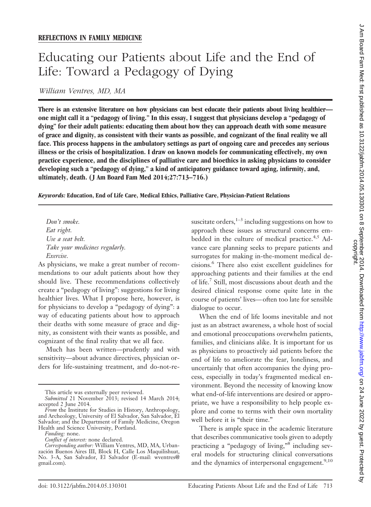## Educating our Patients about Life and the End of Life: Toward a Pedagogy of Dying

*William Ventres, MD, MA*

**There is an extensive literature on how physicians can best educate their patients about living healthier one might call it a "pedagogy of living." In this essay, I suggest that physicians develop a "pedagogy of dying" for their adult patients: educating them about how they can approach death with some measure of grace and dignity, as consistent with their wants as possible, and cognizant of the final reality we all face. This process happens in the ambulatory settings as part of ongoing care and precedes any serious illness or the crisis of hospitalization. I draw on known models for communicating effectively, my own practice experience, and the disciplines of palliative care and bioethics in asking physicians to consider developing such a "pedagogy of dying," a kind of anticipatory guidance toward aging, infirmity, and, ultimately, death. (J Am Board Fam Med 2014;27:713–716.)**

*Keywords:* **Education, End of Life Care, Medical Ethics, Palliative Care, Physician-Patient Relations**

*Don't smoke. Eat right. Use a seat belt. Take your medicines regularly. Exercise.*

As physicians, we make a great number of recommendations to our adult patients about how they should live. These recommendations collectively create a "pedagogy of living": suggestions for living healthier lives. What I propose here, however, is for physicians to develop a "pedagogy of dying": a way of educating patients about how to approach their deaths with some measure of grace and dignity, as consistent with their wants as possible, and cognizant of the final reality that we all face.

Much has been written—prudently and with sensitivity—about advance directives, physician orders for life-sustaining treatment, and do-not-resuscitate orders, $1-3$  including suggestions on how to approach these issues as structural concerns embedded in the culture of medical practice.<sup>4,5</sup> Advance care planning seeks to prepare patients and surrogates for making in-the-moment medical decisions.6 There also exist excellent guidelines for approaching patients and their families at the end of life.7 Still, most discussions about death and the desired clinical response come quite late in the course of patients' lives— often too late for sensible dialogue to occur.

When the end of life looms inevitable and not just as an abstract awareness, a whole host of social and emotional preoccupations overwhelm patients, families, and clinicians alike. It is important for us as physicians to proactively aid patients before the end of life to ameliorate the fear, loneliness, and uncertainly that often accompanies the dying process, especially in today's fragmented medical environment. Beyond the necessity of knowing know what end-of-life interventions are desired or appropriate, we have a responsibility to help people explore and come to terms with their own mortality well before it is "their time."

There is ample space in the academic literature that describes communicative tools given to adeptly practicing a "pedagogy of living,"8 including several models for structuring clinical conversations and the dynamics of interpersonal engagement.<sup>9,10</sup>

This article was externally peer reviewed.

*Submitted* 21 November 2013; revised 14 March 2014; accepted 2 June 2014.

*From* the Institute for Studies in History, Anthropology, and Archeology, University of El Salvador, San Salvador, El Salvador; and the Department of Family Medicine, Oregon Health and Science University, Portland.

*Funding:* none.

*Conflict of interest:* none declared.

*Corresponding author:* William Ventres, MD, MA, Urbanzación Buenos Aires III, Block H, Calle Los Maquilishuat, No. 3-A, San Salvador, El Salvador [\(E-mail: wventres@](mailto:wventres@gmail.com) [gmail.com\)](mailto:wventres@gmail.com).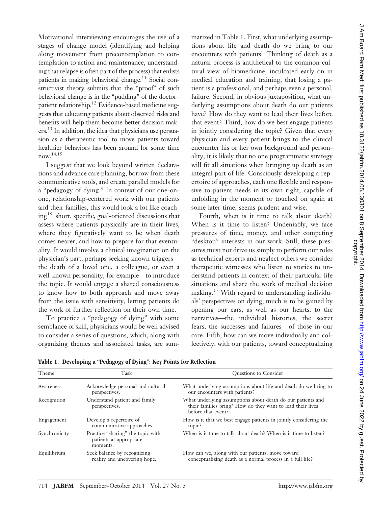Motivational interviewing encourages the use of a stages of change model (identifying and helping along movement from precontemplation to contemplation to action and maintenance, understanding that relapse is often part of the process) that enlists patients in making behavioral change.<sup>11</sup> Social constructivist theory submits that the "proof" of such behavioral change is in the "pudding" of the doctor– patient relationship.<sup>12</sup> Evidence-based medicine suggests that educating patients about observed risks and benefits will help them become better decision makers.13 In addition, the idea that physicians use persuasion as a therapeutic tool to move patients toward healthier behaviors has been around for some time now.14,15

I suggest that we look beyond written declarations and advance care planning, borrow from these communicative tools, and create parallel models for a "pedagogy of dying." In context of our one-onone, relationship-centered work with our patients and their families, this would look a lot like coaching16: short, specific, goal-oriented discussions that assess where patients physically are in their lives, where they figuratively want to be when death comes nearer, and how to prepare for that eventuality. It would involve a clinical imagination on the physician's part, perhaps seeking known triggers the death of a loved one, a colleague, or even a well-known personality, for example—to introduce the topic. It would engage a shared consciousness to know how to both approach and move away from the issue with sensitivity, letting patients do the work of further reflection on their own time.

To practice a "pedagogy of dying" with some semblance of skill, physicians would be well advised to consider a series of questions, which, along with organizing themes and associated tasks, are summarized in Table 1. First, what underlying assumptions about life and death do we bring to our encounters with patients? Thinking of death as a natural process is antithetical to the common cultural view of biomedicine, inculcated early on in medical education and training, that losing a patient is a professional, and perhaps even a personal, failure. Second, in obvious juxtaposition, what underlying assumptions about death do our patients have? How do they want to lead their lives before that event? Third, how do we best engage patients in jointly considering the topic? Given that every physician and every patient brings to the clinical encounter his or her own background and personality, it is likely that no one programmatic strategy will fit all situations when bringing up death as an integral part of life. Consciously developing a repertoire of approaches, each one flexible and responsive to patient needs in its own right, capable of unfolding in the moment or touched on again at some later time, seems prudent and wise.

Fourth, when is it time to talk about death? When is it time to listen? Undeniably, we face pressures of time, money, and other competing "desktop" interests in our work. Still, these pressures must not drive us simply to perform our roles as technical experts and neglect others we consider therapeutic witnesses who listen to stories to understand patients in context of their particular life situations and share the work of medical decision making.<sup>17</sup> With regard to understanding individuals' perspectives on dying, much is to be gained by opening our ears, as well as our hearts, to the narratives—the individual histories, the secret fears, the successes and failures— of those in our care. Fifth, how can we move individually and collectively, with our patients, toward conceptualizing

| Theme         | Task                                                                     | <b>Ouestions to Consider</b>                                                                                                                    |
|---------------|--------------------------------------------------------------------------|-------------------------------------------------------------------------------------------------------------------------------------------------|
| Awareness     | Acknowledge personal and cultural<br>perspectives.                       | What underlying assumptions about life and death do we bring to<br>our encounters with patients?                                                |
| Recognition   | Understand patient and family<br>perspectives.                           | What underlying assumptions about death do our patients and<br>their families bring? How do they want to lead their lives<br>before that event? |
| Engagement    | Develop a repertoire of<br>communicative approaches.                     | How is it that we best engage patients in jointly considering the<br>topic?                                                                     |
| Synchronicity | Practice "sharing" the topic with<br>patients at appropriate<br>moments. | When is it time to talk about death? When is it time to listen?                                                                                 |
| Equilibrium   | Seek balance by recognizing<br>reality and uncovering hope.              | How can we, along with our patients, move toward<br>conceptualizing death as a normal process in a full life?                                   |

**Table 1. Developing a "Pedagogy of Dying": Key Points for Reflection**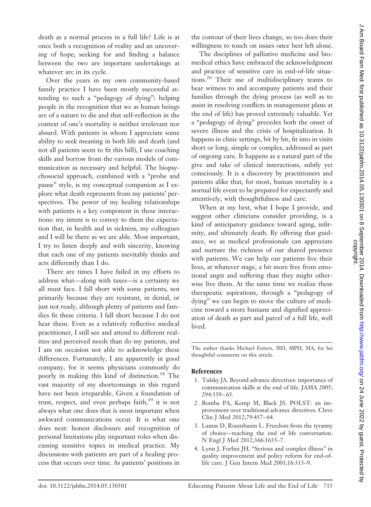death as a normal process in a full life? Life is at once both a recognition of reality and an uncovering of hope; seeking for and finding a balance between the two are important undertakings at whatever arc in its cycle.

Over the years in my own community-based family practice I have been mostly successful attending to such a "pedagogy of dying": helping people in the recognition that we as human beings are of a nature to die and that self-reflection in the context of one's mortality is neither irrelevant nor absurd. With patients in whom I appreciate some ability to seek meaning in both life and death (and not all patients seem to fit this bill), I use coaching skills and borrow from the various models of communication as necessary and helpful. The biopsychosocial approach, combined with a "probe and pause" style, is my conceptual companion as I explore what death represents from my patients' perspectives. The power of my healing relationships with patients is a key component in these interactions: my intent is to convey to them the expectation that, in health and in sickness, my colleagues and I will be there as we are able. Most important, I try to listen deeply and with sincerity, knowing that each one of my patients inevitably thinks and acts differently than I do.

There are times I have failed in my efforts to address what—along with taxes—is a certainty we all must face. I fall short with some patients, not primarily because they are resistant, in denial, or just not ready, although plenty of patients and families fit these criteria. I fall short because I do not hear them. Even as a relatively reflective medical practitioner, I still see and attend to different realities and perceived needs than do my patients, and I am on occasion not able to acknowledge these differences. Fortunately, I am apparently in good company, for it seems physicians commonly do poorly in making this kind of distinction.<sup>18</sup> The vast majority of my shortcomings in this regard have not been irreparable. Given a foundation of trust, respect, and even perhaps faith, $19$  it is not always what one does that is most important when awkward communications occur. It is what one does next: honest disclosure and recognition of personal limitations play important roles when discussing sensitive topics in medical practice. My discussions with patients are part of a healing process that occurs over time. As patients' positions in

the contour of their lives change, so too does their willingness to touch on issues once best left alone.

The disciplines of palliative medicine and biomedical ethics have embraced the acknowledgment and practice of sensitive care in end-of-life situations.20 Their use of multidisciplinary teams to bear witness to and accompany patients and their families through the dying process (as well as to assist in resolving conflicts in management plans at the end of life) has proved extremely valuable. Yet a "pedagogy of dying" precedes both the onset of severe illness and the crisis of hospitalization. It happens in clinic settings, bit by bit, fit into in visits short or long, simple or complex, addressed as part of ongoing care. It happens as a natural part of the give and take of clinical interactions, subtly yet consciously. It is a discovery by practitioners and patients alike that, for most, human mortality is a normal life event to be prepared for expectantly and attentively, with thoughtfulness and care.

When at my best, what I hope I provide, and suggest other clinicians consider providing, is a kind of anticipatory guidance toward aging, infirmity, and ultimately death. By offering that guidance, we as medical professionals can appreciate and nurture the richness of our shared presence with patients. We can help our patients live their lives, at whatever stage, a bit more free from emotional angst and suffering than they might otherwise live them. At the same time we realize these therapeutic aspirations, through a "pedagogy of dying" we can begin to move the culture of medicine toward a more humane and dignified appreciation of death as part and parcel of a full life, well lived.

The author thanks Michael Fetters, MD, MPH, MA, for his thoughtful comments on this article.

## **References**

- 1. Tulsky JA. Beyond advance directives: importance of communication skills at the end of life. JAMA 2005; 294:359 – 65.
- 2. Bomba PA, Kemp M, Black JS. POLST: an improvement over traditional advance directives. Cleve Clin J Med 2012;79:457-64.
- 3. Lamas D, Rosenbaum L. Freedom from the tyranny of choice—teaching the end of life conversation. N Engl J Med 2012;366:1655–7.
- 4. Lynn J, Forlini JH. "Serious and complex illness" in quality improvement and policy reform for end-oflife care. J Gen Intern Med 2001;16:315–9.